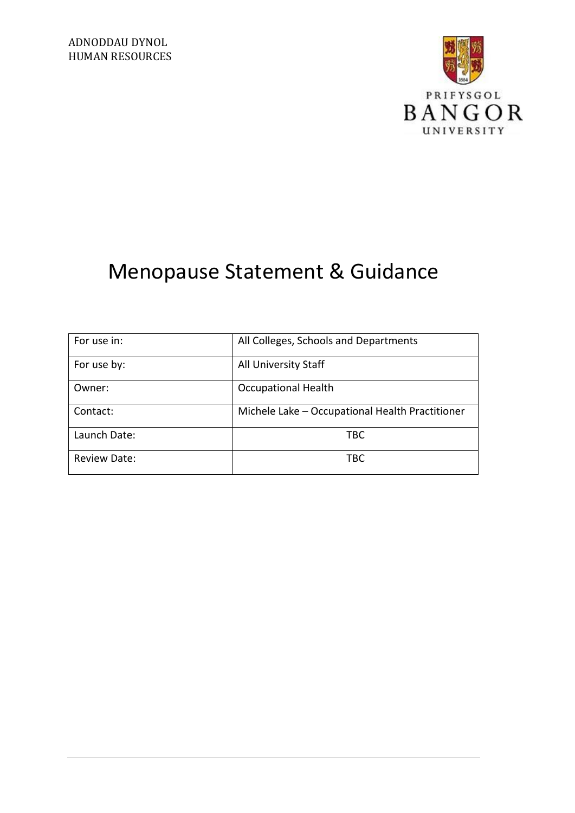

# Menopause Statement & Guidance

| For use in:         | All Colleges, Schools and Departments           |
|---------------------|-------------------------------------------------|
| For use by:         | All University Staff                            |
| Owner:              | <b>Occupational Health</b>                      |
| Contact:            | Michele Lake - Occupational Health Practitioner |
| Launch Date:        | <b>TBC</b>                                      |
| <b>Review Date:</b> | TBC                                             |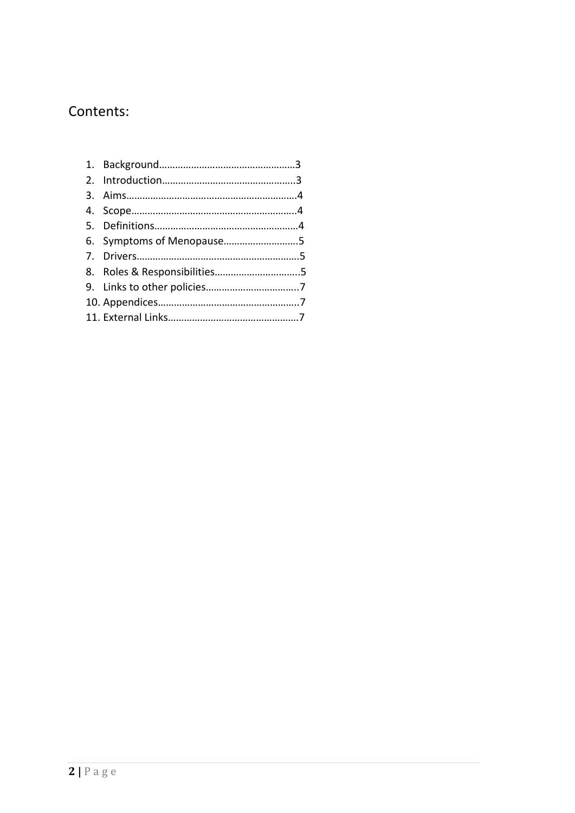### Contents: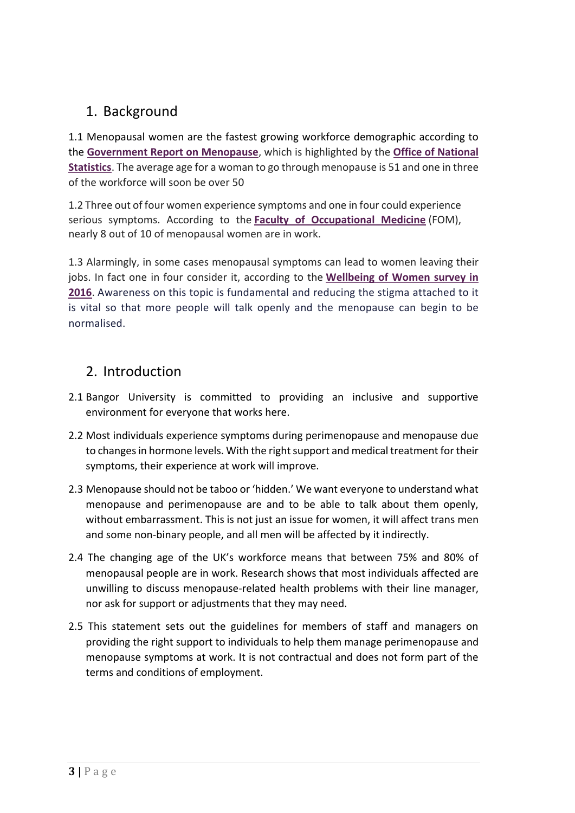### 1. Background

1.1 Menopausal women are the fastest growing workforce demographic according to the **[Government Report on Menopause](https://www.gov.uk/government/publications/menopause-transition-effects-on-womens-economic-participation)**, which is highlighted by the **[Office of National](https://www.ons.gov.uk/employmentandlabourmarket/peopleinwork/employmentandemployeetypes/bulletins/uklabourmarket/september2018)  [Statistics](https://www.ons.gov.uk/employmentandlabourmarket/peopleinwork/employmentandemployeetypes/bulletins/uklabourmarket/september2018)**. The average age for a woman to go through menopause is 51 and one in three of the workforce will soon be over 50

1.2 Three out of four women experience symptoms and one in four could experience serious symptoms. According to the **[Faculty of Occupational Medicine](http://www.fom.ac.uk/health-at-work-2/information-for-employers/dealing-with-health-problems-in-the-workplace/advice-on-the-menopause)** (FOM), nearly 8 out of 10 of menopausal women are in work.

1.3 Alarmingly, in some cases menopausal symptoms can lead to women leaving their jobs. In fact one in four consider it, according to the **[Wellbeing of Women survey in](http://www.itv.com/news/2016-11-23/quarter-of-women-going-through-menopause-considered-leaving-work/)  [2016](http://www.itv.com/news/2016-11-23/quarter-of-women-going-through-menopause-considered-leaving-work/)**. Awareness on this topic is fundamental and reducing the stigma attached to it is vital so that more people will talk openly and the menopause can begin to be normalised.

### 2. Introduction

- 2.1 Bangor University is committed to providing an inclusive and supportive environment for everyone that works here.
- 2.2 Most individuals experience symptoms during perimenopause and menopause due to changes in hormone levels. With the right support and medical treatment for their symptoms, their experience at work will improve.
- 2.3 Menopause should not be taboo or 'hidden.' We want everyone to understand what menopause and perimenopause are and to be able to talk about them openly, without embarrassment. This is not just an issue for women, it will affect trans men and some non-binary people, and all men will be affected by it indirectly.
- 2.4 The changing age of the UK's workforce means that between 75% and 80% of menopausal people are in work. Research shows that most individuals affected are unwilling to discuss menopause-related health problems with their line manager, nor ask for support or adjustments that they may need.
- 2.5 This statement sets out the guidelines for members of staff and managers on providing the right support to individuals to help them manage perimenopause and menopause symptoms at work. It is not contractual and does not form part of the terms and conditions of employment.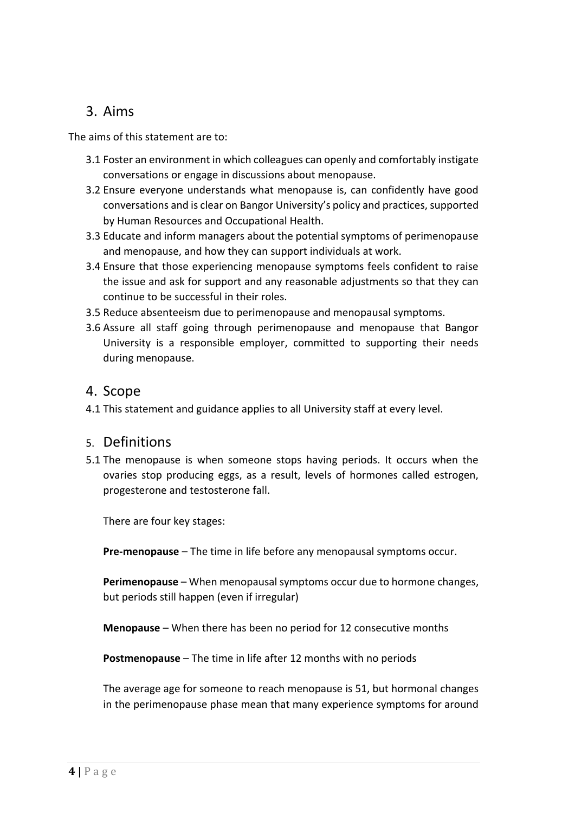### 3. Aims

The aims of this statement are to:

- 3.1 Foster an environment in which colleagues can openly and comfortably instigate conversations or engage in discussions about menopause.
- 3.2 Ensure everyone understands what menopause is, can confidently have good conversations and is clear on Bangor University's policy and practices, supported by Human Resources and Occupational Health.
- 3.3 Educate and inform managers about the potential symptoms of perimenopause and menopause, and how they can support individuals at work.
- 3.4 Ensure that those experiencing menopause symptoms feels confident to raise the issue and ask for support and any reasonable adjustments so that they can continue to be successful in their roles.
- 3.5 Reduce absenteeism due to perimenopause and menopausal symptoms.
- 3.6 Assure all staff going through perimenopause and menopause that Bangor University is a responsible employer, committed to supporting their needs during menopause.

### 4. Scope

4.1 This statement and guidance applies to all University staff at every level.

### 5. Definitions

5.1 The menopause is when someone stops having periods. It occurs when the ovaries stop producing eggs, as a result, levels of hormones called estrogen, progesterone and testosterone fall.

There are four key stages:

**Pre-menopause** – The time in life before any menopausal symptoms occur.

**Perimenopause** – When menopausal symptoms occur due to hormone changes, but periods still happen (even if irregular)

**Menopause** – When there has been no period for 12 consecutive months

**Postmenopause** – The time in life after 12 months with no periods

The average age for someone to reach menopause is 51, but hormonal changes in the perimenopause phase mean that many experience symptoms for around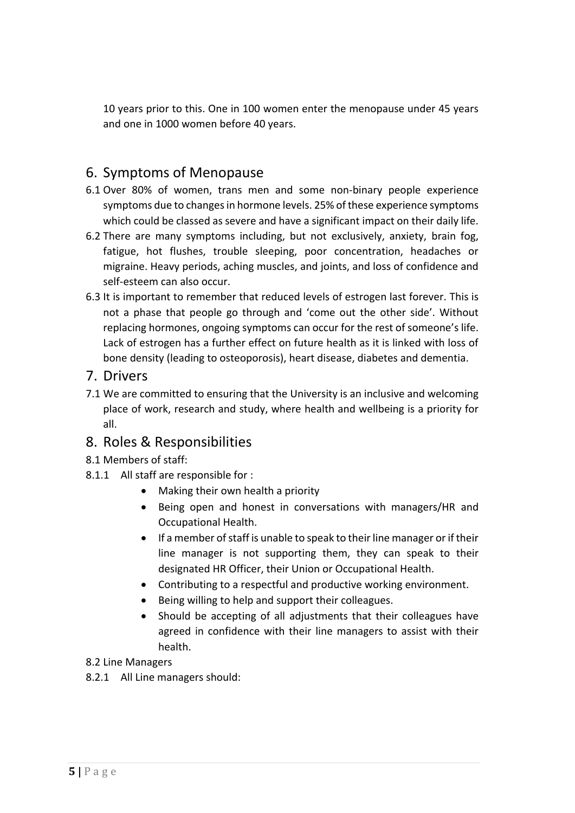10 years prior to this. One in 100 women enter the menopause under 45 years and one in 1000 women before 40 years.

### 6. Symptoms of Menopause

- 6.1 Over 80% of women, trans men and some non-binary people experience symptoms due to changes in hormone levels. 25% of these experience symptoms which could be classed as severe and have a significant impact on their daily life.
- 6.2 There are many symptoms including, but not exclusively, anxiety, brain fog, fatigue, hot flushes, trouble sleeping, poor concentration, headaches or migraine. Heavy periods, aching muscles, and joints, and loss of confidence and self-esteem can also occur.
- 6.3 It is important to remember that reduced levels of estrogen last forever. This is not a phase that people go through and 'come out the other side'. Without replacing hormones, ongoing symptoms can occur for the rest of someone's life. Lack of estrogen has a further effect on future health as it is linked with loss of bone density (leading to osteoporosis), heart disease, diabetes and dementia.

### 7. Drivers

7.1 We are committed to ensuring that the University is an inclusive and welcoming place of work, research and study, where health and wellbeing is a priority for all.

### 8. Roles & Responsibilities

- 8.1 Members of staff:
- 8.1.1 All staff are responsible for :
	- Making their own health a priority
	- Being open and honest in conversations with managers/HR and Occupational Health.
	- If a member of staff is unable to speak to their line manager or if their line manager is not supporting them, they can speak to their designated HR Officer, their Union or Occupational Health.
	- Contributing to a respectful and productive working environment.
	- Being willing to help and support their colleagues.
	- Should be accepting of all adjustments that their colleagues have agreed in confidence with their line managers to assist with their health.
- 8.2 Line Managers
- 8.2.1 All Line managers should: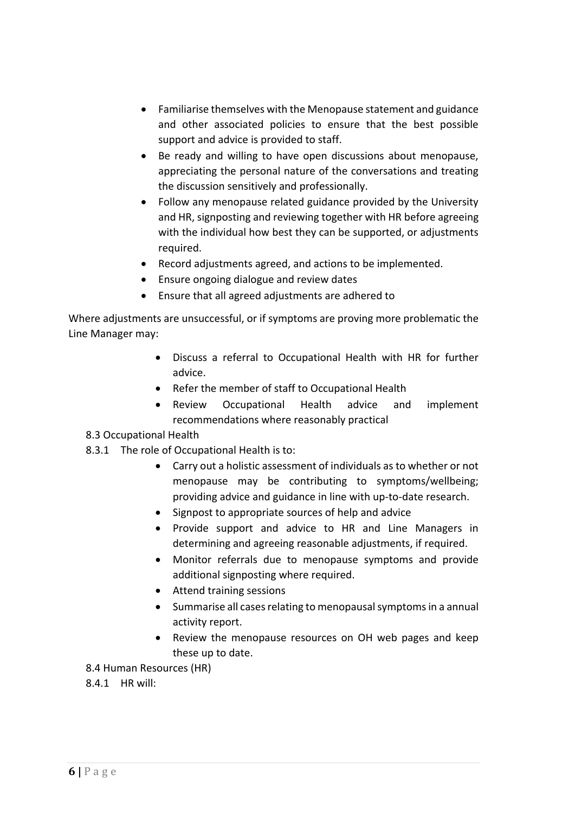- Familiarise themselves with the Menopause statement and guidance and other associated policies to ensure that the best possible support and advice is provided to staff.
- Be ready and willing to have open discussions about menopause, appreciating the personal nature of the conversations and treating the discussion sensitively and professionally.
- Follow any menopause related guidance provided by the University and HR, signposting and reviewing together with HR before agreeing with the individual how best they can be supported, or adjustments required.
- Record adjustments agreed, and actions to be implemented.
- Ensure ongoing dialogue and review dates
- Ensure that all agreed adjustments are adhered to

Where adjustments are unsuccessful, or if symptoms are proving more problematic the Line Manager may:

- Discuss a referral to Occupational Health with HR for further advice.
- Refer the member of staff to Occupational Health
- Review Occupational Health advice and implement recommendations where reasonably practical

#### 8.3 Occupational Health

- 8.3.1 The role of Occupational Health is to:
	- Carry out a holistic assessment of individuals as to whether or not menopause may be contributing to symptoms/wellbeing; providing advice and guidance in line with up-to-date research.
	- Signpost to appropriate sources of help and advice
	- Provide support and advice to HR and Line Managers in determining and agreeing reasonable adjustments, if required.
	- Monitor referrals due to menopause symptoms and provide additional signposting where required.
	- Attend training sessions
	- Summarise all cases relating to menopausal symptoms in a annual activity report.
	- Review the menopause resources on OH web pages and keep these up to date.
- 8.4 Human Resources (HR)
- 8.4.1 HR will: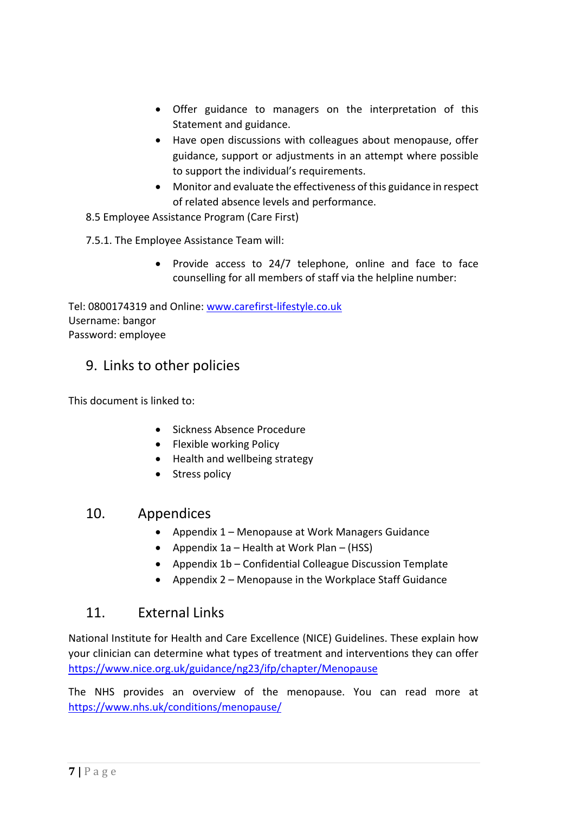- Offer guidance to managers on the interpretation of this Statement and guidance.
- Have open discussions with colleagues about menopause, offer guidance, support or adjustments in an attempt where possible to support the individual's requirements.
- Monitor and evaluate the effectiveness of this guidance in respect of related absence levels and performance.

8.5 Employee Assistance Program (Care First)

7.5.1. The Employee Assistance Team will:

• Provide access to 24/7 telephone, online and face to face counselling for all members of staff via the helpline number:

Tel: 0800174319 and Online: [www.carefirst-lifestyle.co.uk](http://www.carefirst-lifestyle.co.uk/) Username: bangor Password: employee

### 9. Links to other policies

This document is linked to:

- Sickness Absence Procedure
- Flexible working Policy
- Health and wellbeing strategy
- Stress policy

### 10. Appendices

- Appendix 1 Menopause at Work Managers Guidance
- Appendix 1a Health at Work Plan (HSS)
- Appendix 1b Confidential Colleague Discussion Template
- Appendix 2 Menopause in the Workplace Staff Guidance

### 11. External Links

National Institute for Health and Care Excellence (NICE) Guidelines. These explain how your clinician can determine what types of treatment and interventions they can offer <https://www.nice.org.uk/guidance/ng23/ifp/chapter/Menopause>

The NHS provides an overview of the menopause. You can read more at <https://www.nhs.uk/conditions/menopause/>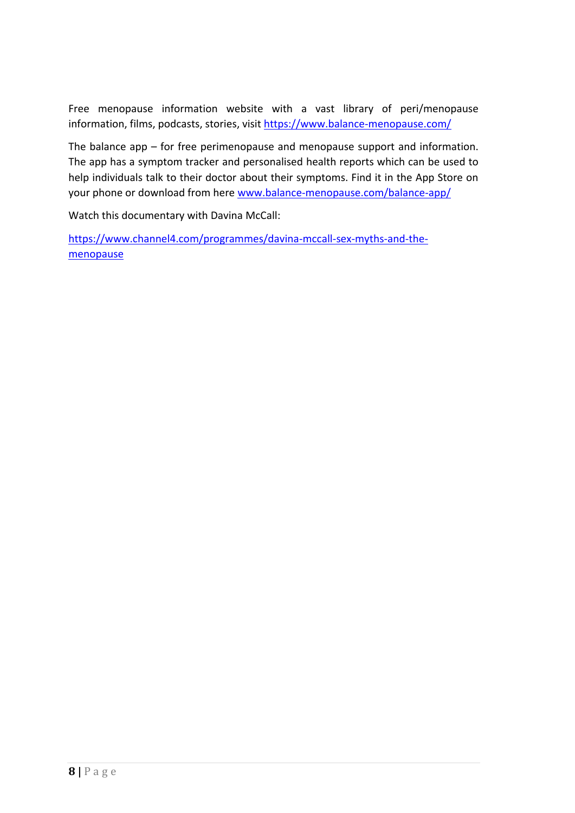Free menopause information website with a vast library of peri/menopause information, films, podcasts, stories, visit<https://www.balance-menopause.com/>

The balance app – for free perimenopause and menopause support and information. The app has a symptom tracker and personalised health reports which can be used to help individuals talk to their doctor about their symptoms. Find it in the App Store on your phone or download from here [www.balance-menopause.com/balance-app/](http://www.balance-menopause.com/balance-app/)

Watch this documentary with Davina McCall:

[https://www.channel4.com/programmes/davina-mccall-sex-myths-and-the](https://www.channel4.com/programmes/davina-mccall-sex-myths-and-the-menopause)[menopause](https://www.channel4.com/programmes/davina-mccall-sex-myths-and-the-menopause)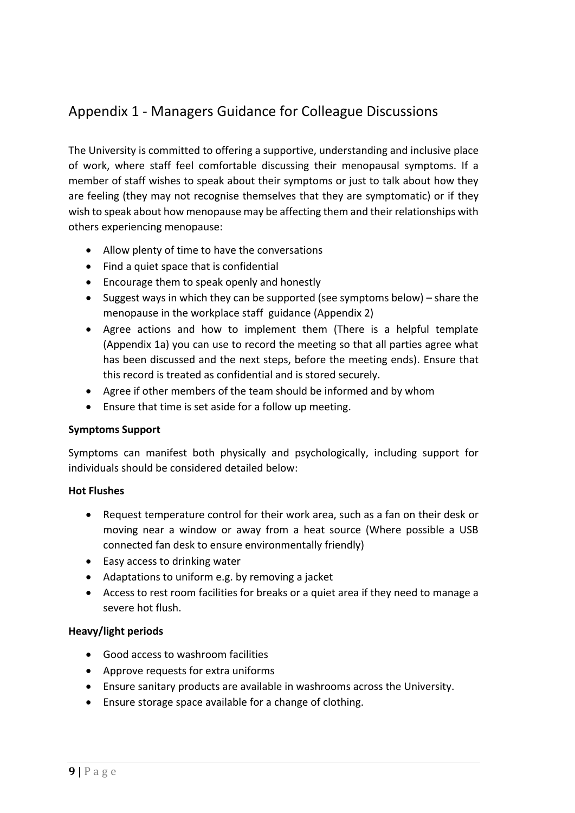### Appendix 1 - Managers Guidance for Colleague Discussions

The University is committed to offering a supportive, understanding and inclusive place of work, where staff feel comfortable discussing their menopausal symptoms. If a member of staff wishes to speak about their symptoms or just to talk about how they are feeling (they may not recognise themselves that they are symptomatic) or if they wish to speak about how menopause may be affecting them and their relationships with others experiencing menopause:

- Allow plenty of time to have the conversations
- Find a quiet space that is confidential
- Encourage them to speak openly and honestly
- Suggest ways in which they can be supported (see symptoms below) share the menopause in the workplace staff guidance (Appendix 2)
- Agree actions and how to implement them (There is a helpful template (Appendix 1a) you can use to record the meeting so that all parties agree what has been discussed and the next steps, before the meeting ends). Ensure that this record is treated as confidential and is stored securely.
- Agree if other members of the team should be informed and by whom
- Ensure that time is set aside for a follow up meeting.

#### **Symptoms Support**

Symptoms can manifest both physically and psychologically, including support for individuals should be considered detailed below:

#### **Hot Flushes**

- Request temperature control for their work area, such as a fan on their desk or moving near a window or away from a heat source (Where possible a USB connected fan desk to ensure environmentally friendly)
- Easy access to drinking water
- Adaptations to uniform e.g. by removing a jacket
- Access to rest room facilities for breaks or a quiet area if they need to manage a severe hot flush.

#### **Heavy/light periods**

- Good access to washroom facilities
- Approve requests for extra uniforms
- Ensure sanitary products are available in washrooms across the University.
- Ensure storage space available for a change of clothing.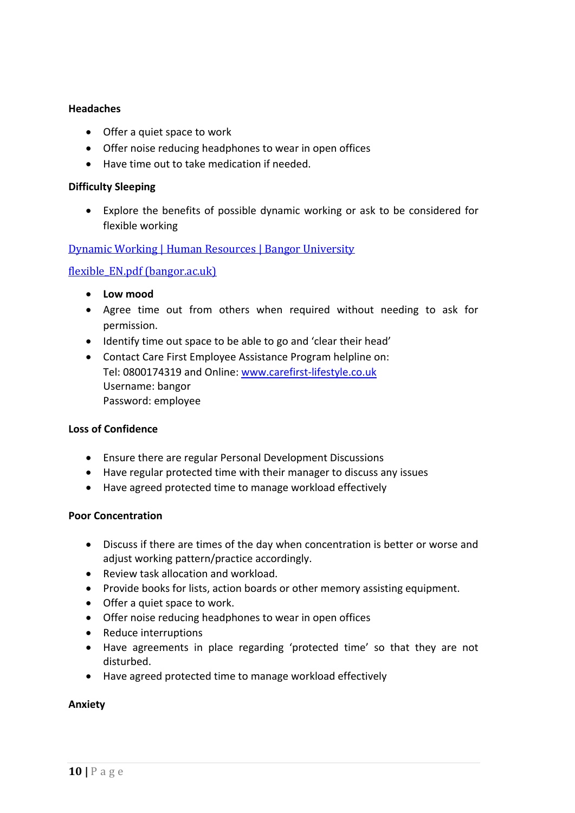#### **Headaches**

- Offer a quiet space to work
- Offer noise reducing headphones to wear in open offices
- Have time out to take medication if needed.

#### **Difficulty Sleeping**

• Explore the benefits of possible dynamic working or ask to be considered for flexible working

#### [Dynamic Working | Human Resources | Bangor University](https://www.bangor.ac.uk/humanresources/dynamicwork.php.en)

#### [flexible\\_EN.pdf \(bangor.ac.uk\)](https://www.bangor.ac.uk/humanresources/policies/family/flexible_EN.pdf#:~:text=The%20University%20supports%20the%20principle%20of%20flexible%20working,to%20the%20impact%20this%20may%20have.%202%20ELIGIBILITY)

- **Low mood**
- Agree time out from others when required without needing to ask for permission.
- Identify time out space to be able to go and 'clear their head'
- Contact Care First Employee Assistance Program helpline on: Tel: 0800174319 and Online: [www.carefirst-lifestyle.co.uk](http://www.carefirst-lifestyle.co.uk/) Username: bangor Password: employee

#### **Loss of Confidence**

- Ensure there are regular Personal Development Discussions
- Have regular protected time with their manager to discuss any issues
- Have agreed protected time to manage workload effectively

#### **Poor Concentration**

- Discuss if there are times of the day when concentration is better or worse and adjust working pattern/practice accordingly.
- Review task allocation and workload.
- Provide books for lists, action boards or other memory assisting equipment.
- Offer a quiet space to work.
- Offer noise reducing headphones to wear in open offices
- Reduce interruptions
- Have agreements in place regarding 'protected time' so that they are not disturbed.
- Have agreed protected time to manage workload effectively

#### **Anxiety**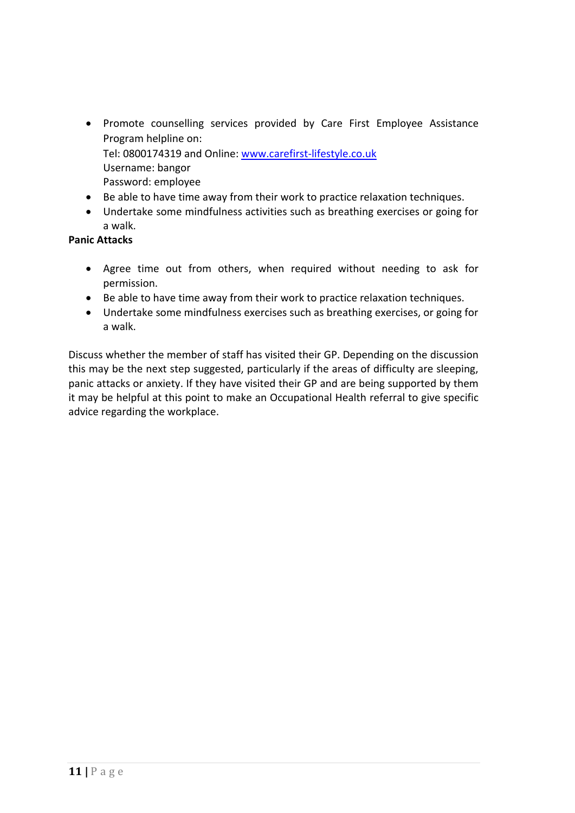- Promote counselling services provided by Care First Employee Assistance Program helpline on: Tel: 0800174319 and Online: [www.carefirst-lifestyle.co.uk](http://www.carefirst-lifestyle.co.uk/) Username: bangor Password: employee
- Be able to have time away from their work to practice relaxation techniques.
- Undertake some mindfulness activities such as breathing exercises or going for a walk.

#### **Panic Attacks**

- Agree time out from others, when required without needing to ask for permission.
- Be able to have time away from their work to practice relaxation techniques.
- Undertake some mindfulness exercises such as breathing exercises, or going for a walk.

Discuss whether the member of staff has visited their GP. Depending on the discussion this may be the next step suggested, particularly if the areas of difficulty are sleeping, panic attacks or anxiety. If they have visited their GP and are being supported by them it may be helpful at this point to make an Occupational Health referral to give specific advice regarding the workplace.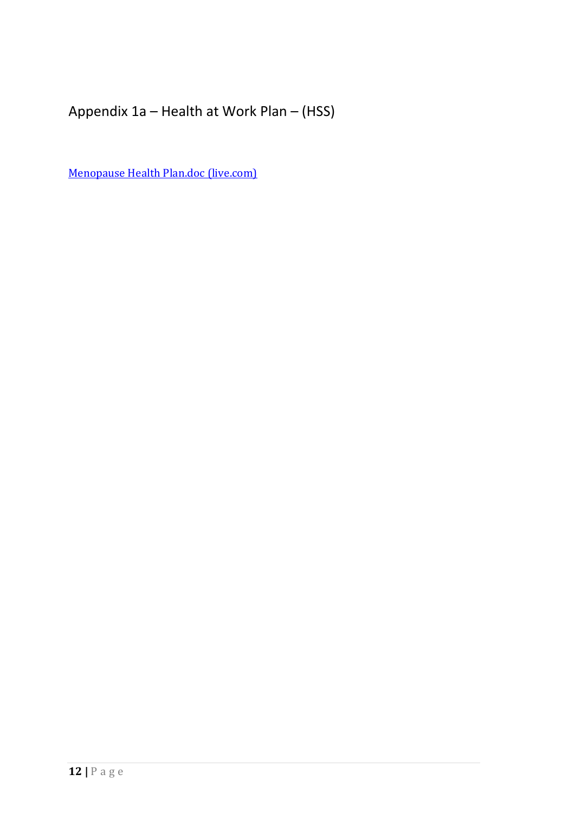Appendix 1a – Health at Work Plan – (HSS)

[Menopause Health Plan.doc \(live.com\)](https://view.officeapps.live.com/op/view.aspx?src=https%3A%2F%2Fwww.bangor.ac.uk%2Fhss%2Fwellness%2Fdocuments%2FMenopause%2520Health%2520Plan.doc&wdOrigin=BROWSELINK)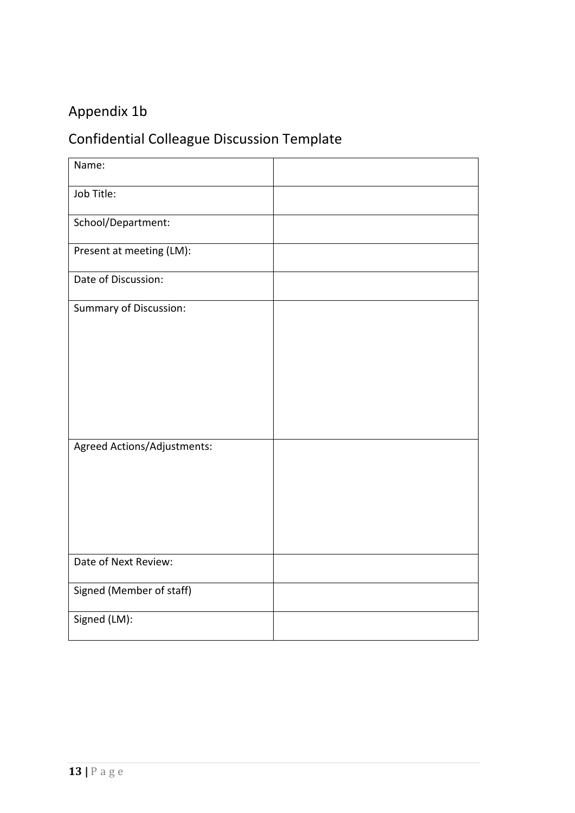# Appendix 1b

# Confidential Colleague Discussion Template

| Name:                         |  |
|-------------------------------|--|
| Job Title:                    |  |
| School/Department:            |  |
| Present at meeting (LM):      |  |
| Date of Discussion:           |  |
| <b>Summary of Discussion:</b> |  |
|                               |  |
|                               |  |
|                               |  |
| Agreed Actions/Adjustments:   |  |
|                               |  |
|                               |  |
|                               |  |
| Date of Next Review:          |  |
| Signed (Member of staff)      |  |
| Signed (LM):                  |  |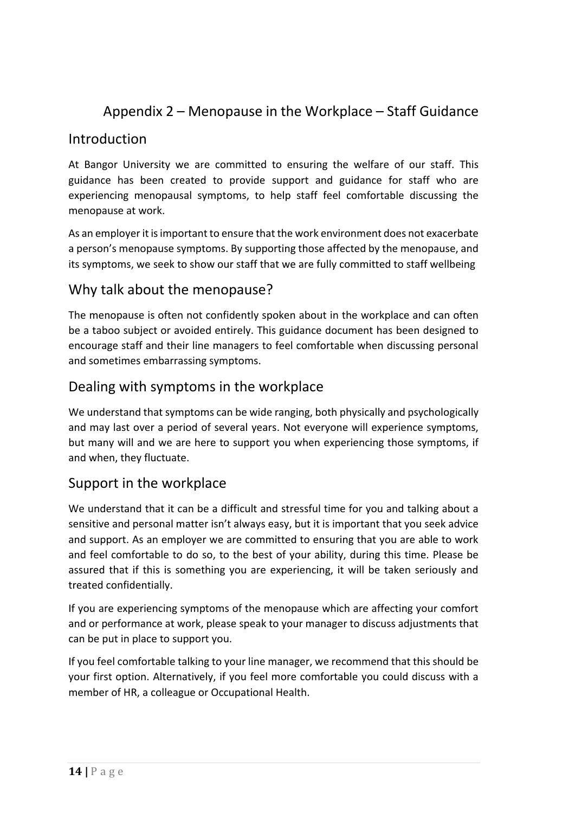### Appendix 2 – Menopause in the Workplace – Staff Guidance

### Introduction

At Bangor University we are committed to ensuring the welfare of our staff. This guidance has been created to provide support and guidance for staff who are experiencing menopausal symptoms, to help staff feel comfortable discussing the menopause at work.

As an employer it is important to ensure that the work environment does not exacerbate a person's menopause symptoms. By supporting those affected by the menopause, and its symptoms, we seek to show our staff that we are fully committed to staff wellbeing

### Why talk about the menopause?

The menopause is often not confidently spoken about in the workplace and can often be a taboo subject or avoided entirely. This guidance document has been designed to encourage staff and their line managers to feel comfortable when discussing personal and sometimes embarrassing symptoms.

### Dealing with symptoms in the workplace

We understand that symptoms can be wide ranging, both physically and psychologically and may last over a period of several years. Not everyone will experience symptoms, but many will and we are here to support you when experiencing those symptoms, if and when, they fluctuate.

### Support in the workplace

We understand that it can be a difficult and stressful time for you and talking about a sensitive and personal matter isn't always easy, but it is important that you seek advice and support. As an employer we are committed to ensuring that you are able to work and feel comfortable to do so, to the best of your ability, during this time. Please be assured that if this is something you are experiencing, it will be taken seriously and treated confidentially.

If you are experiencing symptoms of the menopause which are affecting your comfort and or performance at work, please speak to your manager to discuss adjustments that can be put in place to support you.

If you feel comfortable talking to your line manager, we recommend that this should be your first option. Alternatively, if you feel more comfortable you could discuss with a member of HR, a colleague or Occupational Health.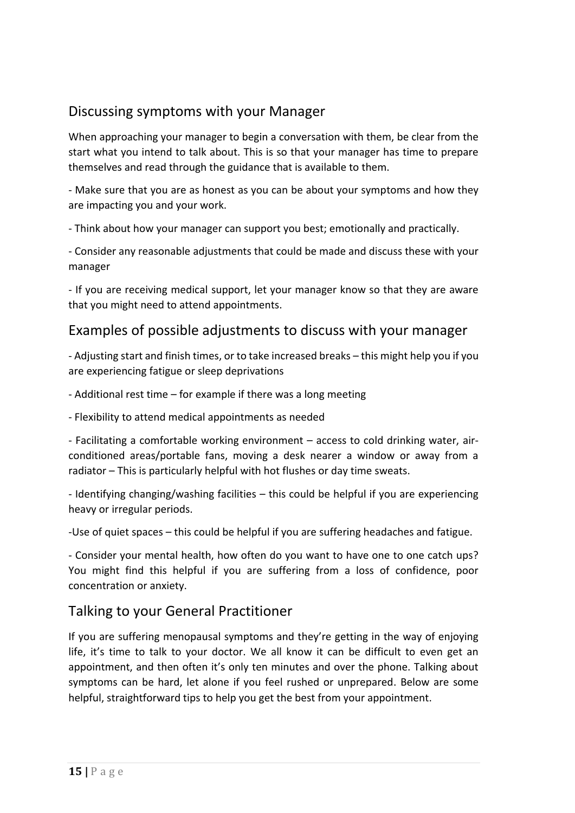### Discussing symptoms with your Manager

When approaching your manager to begin a conversation with them, be clear from the start what you intend to talk about. This is so that your manager has time to prepare themselves and read through the guidance that is available to them.

- Make sure that you are as honest as you can be about your symptoms and how they are impacting you and your work.

- Think about how your manager can support you best; emotionally and practically.

- Consider any reasonable adjustments that could be made and discuss these with your manager

- If you are receiving medical support, let your manager know so that they are aware that you might need to attend appointments.

### Examples of possible adjustments to discuss with your manager

- Adjusting start and finish times, or to take increased breaks – this might help you if you are experiencing fatigue or sleep deprivations

- Additional rest time – for example if there was a long meeting

- Flexibility to attend medical appointments as needed

- Facilitating a comfortable working environment – access to cold drinking water, airconditioned areas/portable fans, moving a desk nearer a window or away from a radiator – This is particularly helpful with hot flushes or day time sweats.

- Identifying changing/washing facilities – this could be helpful if you are experiencing heavy or irregular periods.

-Use of quiet spaces – this could be helpful if you are suffering headaches and fatigue.

- Consider your mental health, how often do you want to have one to one catch ups? You might find this helpful if you are suffering from a loss of confidence, poor concentration or anxiety.

### Talking to your General Practitioner

If you are suffering menopausal symptoms and they're getting in the way of enjoying life, it's time to talk to your doctor. We all know it can be difficult to even get an appointment, and then often it's only ten minutes and over the phone. Talking about symptoms can be hard, let alone if you feel rushed or unprepared. Below are some helpful, straightforward tips to help you get the best from your appointment.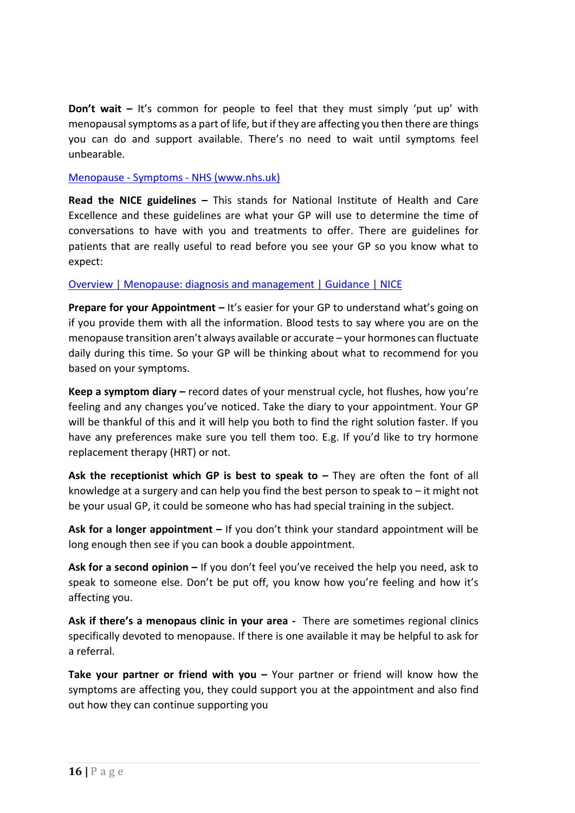**Don't wait –** It's common for people to feel that they must simply 'put up' with menopausal symptoms as a part of life, but if they are affecting you then there are things you can do and support available. There's no need to wait until symptoms feel unbearable.

#### Menopause - Symptoms - [NHS \(www.nhs.uk\)](https://www.nhs.uk/conditions/menopause/symptoms/)

**Read the NICE guidelines –** This stands for National Institute of Health and Care Excellence and these guidelines are what your GP will use to determine the time of conversations to have with you and treatments to offer. There are guidelines for patients that are really useful to read before you see your GP so you know what to expect:

#### [Overview | Menopause: diagnosis and management | Guidance | NICE](https://www.nice.org.uk/guidance/NG23)

**Prepare for your Appointment –** It's easier for your GP to understand what's going on if you provide them with all the information. Blood tests to say where you are on the menopause transition aren't always available or accurate – your hormones can fluctuate daily during this time. So your GP will be thinking about what to recommend for you based on your symptoms.

**Keep a symptom diary –** record dates of your menstrual cycle, hot flushes, how you're feeling and any changes you've noticed. Take the diary to your appointment. Your GP will be thankful of this and it will help you both to find the right solution faster. If you have any preferences make sure you tell them too. E.g. If you'd like to try hormone replacement therapy (HRT) or not.

**Ask the receptionist which GP is best to speak to – They are often the font of all** knowledge at a surgery and can help you find the best person to speak to – it might not be your usual GP, it could be someone who has had special training in the subject.

**Ask for a longer appointment –** If you don't think your standard appointment will be long enough then see if you can book a double appointment.

**Ask for a second opinion –** If you don't feel you've received the help you need, ask to speak to someone else. Don't be put off, you know how you're feeling and how it's affecting you.

**Ask if there's a menopaus clinic in your area -** There are sometimes regional clinics specifically devoted to menopause. If there is one available it may be helpful to ask for a referral.

**Take your partner or friend with you –** Your partner or friend will know how the symptoms are affecting you, they could support you at the appointment and also find out how they can continue supporting you